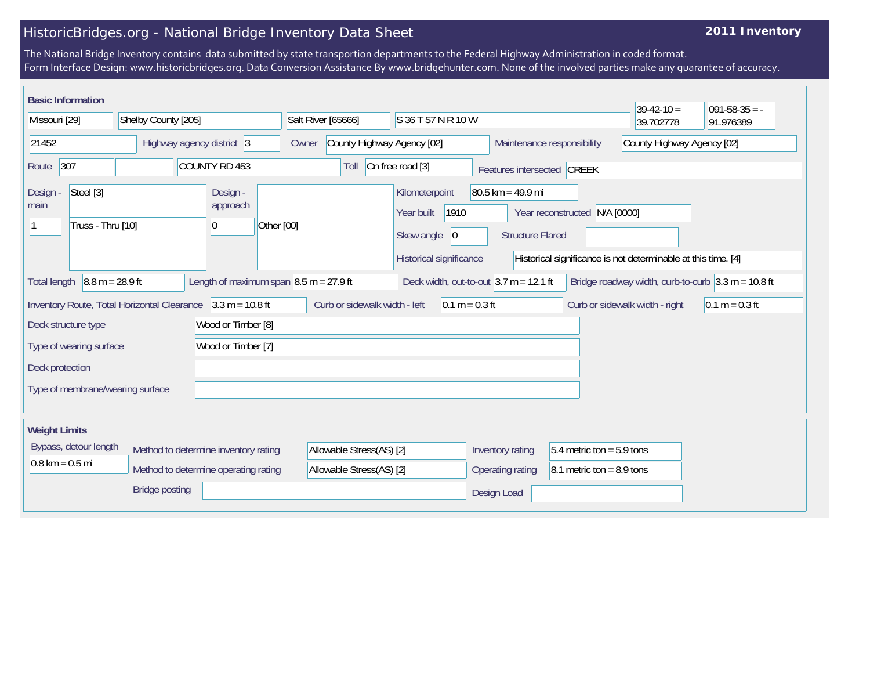## HistoricBridges.org - National Bridge Inventory Data Sheet

## **2011 Inventory**

The National Bridge Inventory contains data submitted by state transportion departments to the Federal Highway Administration in coded format. Form Interface Design: www.historicbridges.org. Data Conversion Assistance By www.bridgehunter.com. None of the involved parties make any guarantee of accuracy.

| <b>Basic Information</b>                                                             |  |                           |                               |                                                                                                                                                                                                              |  |                                                        |                  |                                                |                                  |                            | $39-42-10=$                | $ 091-58-35 = -$ |
|--------------------------------------------------------------------------------------|--|---------------------------|-------------------------------|--------------------------------------------------------------------------------------------------------------------------------------------------------------------------------------------------------------|--|--------------------------------------------------------|------------------|------------------------------------------------|----------------------------------|----------------------------|----------------------------|------------------|
| Missouri [29]                                                                        |  | Shelby County [205]       |                               |                                                                                                                                                                                                              |  | Salt River [65666]<br>S 36 T 57 N R 10 W               |                  |                                                |                                  |                            | 39.702778                  | 91.976389        |
| 21452                                                                                |  | Highway agency district 3 |                               |                                                                                                                                                                                                              |  | County Highway Agency [02]<br>Owner                    |                  |                                                |                                  | Maintenance responsibility | County Highway Agency [02] |                  |
| 307<br>Route                                                                         |  |                           |                               | COUNTY RD 453                                                                                                                                                                                                |  | On free road [3]<br>Toll<br>Features intersected CREEK |                  |                                                |                                  |                            |                            |                  |
| Steel [3]<br>Design -<br>main<br>Truss - Thru [10]                                   |  |                           | Design -<br>approach<br>10    | Other [00]                                                                                                                                                                                                   |  | Kilometerpoint<br>Year built<br>Skew angle             | 1910<br> 0       | $80.5$ km = 49.9 mi<br><b>Structure Flared</b> | N/A [0000]<br>Year reconstructed |                            |                            |                  |
| $8.8 m = 28.9 ft$<br>Length of maximum span $8.5$ m = 27.9 ft<br><b>Total length</b> |  |                           |                               | Historical significance<br>Historical significance is not determinable at this time. [4]<br>Deck width, out-to-out $3.7$ m = 12.1 ft<br>Bridge roadway width, curb-to-curb $3.3 \text{ m} = 10.8 \text{ ft}$ |  |                                                        |                  |                                                |                                  |                            |                            |                  |
| Inventory Route, Total Horizontal Clearance 3.3 m = 10.8 ft                          |  |                           | Curb or sidewalk width - left |                                                                                                                                                                                                              |  | $0.1 m = 0.3 ft$                                       |                  |                                                | Curb or sidewalk width - right   | $0.1 m = 0.3 ft$           |                            |                  |
| Wood or Timber [8]<br>Deck structure type                                            |  |                           |                               |                                                                                                                                                                                                              |  |                                                        |                  |                                                |                                  |                            |                            |                  |
| Type of wearing surface                                                              |  |                           | Wood or Timber [7]            |                                                                                                                                                                                                              |  |                                                        |                  |                                                |                                  |                            |                            |                  |
| Deck protection                                                                      |  |                           |                               |                                                                                                                                                                                                              |  |                                                        |                  |                                                |                                  |                            |                            |                  |
| Type of membrane/wearing surface                                                     |  |                           |                               |                                                                                                                                                                                                              |  |                                                        |                  |                                                |                                  |                            |                            |                  |
| <b>Weight Limits</b>                                                                 |  |                           |                               |                                                                                                                                                                                                              |  |                                                        |                  |                                                |                                  |                            |                            |                  |
| Bypass, detour length<br>Method to determine inventory rating                        |  |                           |                               | Allowable Stress(AS) [2]                                                                                                                                                                                     |  |                                                        | Inventory rating | $5.4$ metric ton = 5.9 tons                    |                                  |                            |                            |                  |
| $0.8 \text{ km} = 0.5 \text{ mi}$<br>Method to determine operating rating            |  |                           |                               | Allowable Stress(AS) [2]                                                                                                                                                                                     |  |                                                        | Operating rating | 8.1 metric ton = $8.9$ tons                    |                                  |                            |                            |                  |
| <b>Bridge posting</b>                                                                |  |                           |                               |                                                                                                                                                                                                              |  |                                                        | Design Load      |                                                |                                  |                            |                            |                  |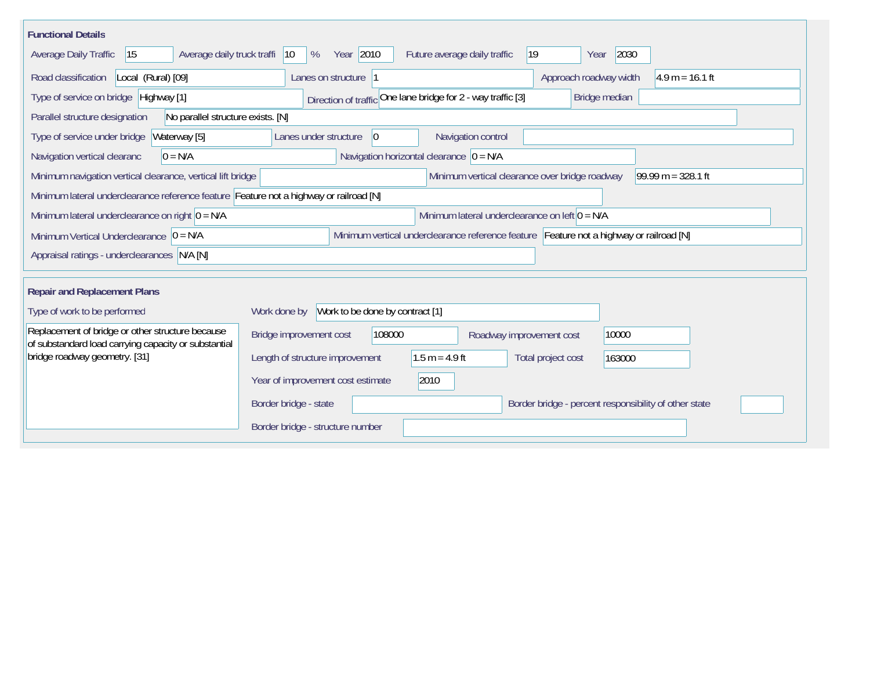| <b>Functional Details</b>                                                                                |                                                                                                |
|----------------------------------------------------------------------------------------------------------|------------------------------------------------------------------------------------------------|
| Average daily truck traffi<br>15<br>Average Daily Traffic                                                | Year 2010<br>2030<br>$ 19\rangle$<br>$ 10\rangle$<br>%<br>Future average daily traffic<br>Year |
| Road classification<br>Local (Rural) [09]                                                                | Approach roadway width<br>$4.9 m = 16.1 ft$<br>Lanes on structure 1                            |
| Type of service on bridge Highway [1]                                                                    | Direction of traffic One lane bridge for 2 - way traffic [3]<br>Bridge median                  |
| No parallel structure exists. [N]<br>Parallel structure designation                                      |                                                                                                |
| Type of service under bridge<br>Waterway [5]                                                             | Navigation control<br>$ 0\rangle$<br>Lanes under structure                                     |
| $0 = N/A$<br>Navigation vertical clearanc                                                                | Navigation horizontal clearance $ 0 = N/A$                                                     |
| Minimum navigation vertical clearance, vertical lift bridge                                              | 99.99 m = $328.1$ ft<br>Minimum vertical clearance over bridge roadway                         |
| Minimum lateral underclearance reference feature Feature not a highway or railroad [N]                   |                                                                                                |
| Minimum lateral underclearance on right $0 = N/A$                                                        | Minimum lateral underclearance on left $0 = N/A$                                               |
| Minimum Vertical Underclearance $ 0 = N/A$                                                               | Minimum vertical underclearance reference feature Feature not a highway or railroad [N]        |
| Appraisal ratings - underclearances N/A [N]                                                              |                                                                                                |
|                                                                                                          |                                                                                                |
| <b>Repair and Replacement Plans</b>                                                                      |                                                                                                |
| Type of work to be performed                                                                             | Work to be done by contract [1]<br>Work done by                                                |
| Replacement of bridge or other structure because<br>of substandard load carrying capacity or substantial | Bridge improvement cost<br>108000<br>10000<br>Roadway improvement cost                         |
| bridge roadway geometry. [31]                                                                            | Length of structure improvement<br>$1.5 m = 4.9 ft$<br>Total project cost<br>163000            |
|                                                                                                          | Year of improvement cost estimate<br>2010                                                      |
|                                                                                                          | Border bridge - state<br>Border bridge - percent responsibility of other state                 |
|                                                                                                          | Border bridge - structure number                                                               |